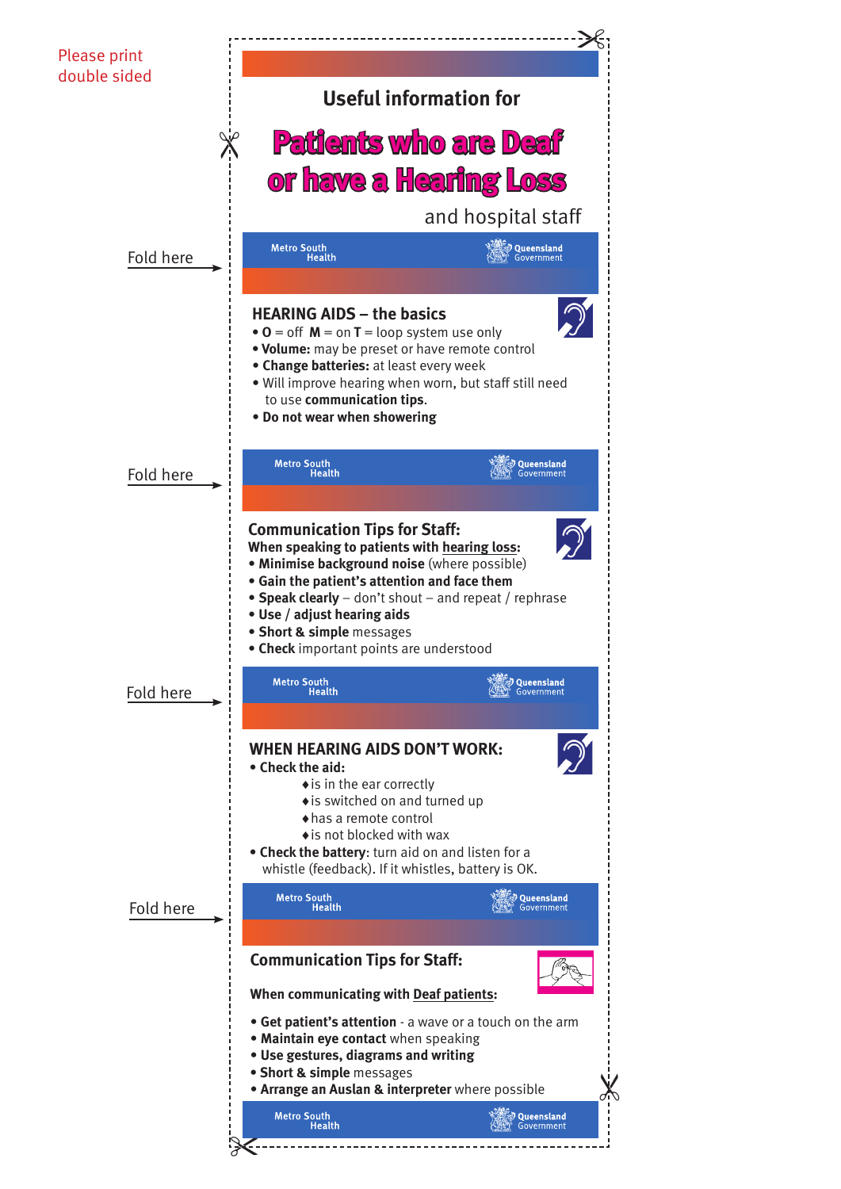